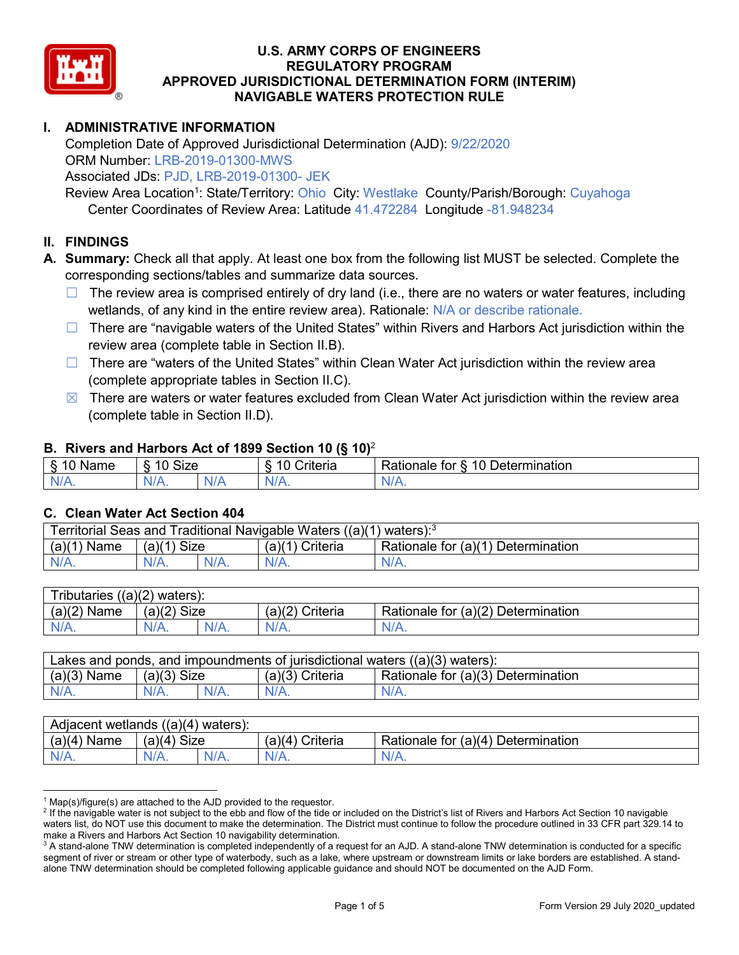

## **I. ADMINISTRATIVE INFORMATION**

Completion Date of Approved Jurisdictional Determination (AJD): 9/22/2020 ORM Number: LRB-2019-01300-MWS Associated JDs: PJD, LRB-2019-01300- JEK

Review Area Location<sup>1</sup>: State/Territory: Ohio City: Westlake County/Parish/Borough: Cuyahoga Center Coordinates of Review Area: Latitude 41.472284 Longitude -81.948234

#### **II. FINDINGS**

**A. Summary:** Check all that apply. At least one box from the following list MUST be selected. Complete the corresponding sections/tables and summarize data sources.

- $\Box$  The review area is comprised entirely of dry land (i.e., there are no waters or water features, including wetlands, of any kind in the entire review area). Rationale: N/A or describe rationale.
- $\Box$  There are "navigable waters of the United States" within Rivers and Harbors Act jurisdiction within the review area (complete table in Section II.B).
- $\Box$  There are "waters of the United States" within Clean Water Act jurisdiction within the review area (complete appropriate tables in Section II.C).
- $\boxtimes$  There are waters or water features excluded from Clean Water Act jurisdiction within the review area (complete table in Section II.D).

#### **B. Rivers and Harbors Act of 1899 Section 10 (§ 10)**<sup>2</sup>

| $\cdot$    |                                                 |              |                                              |                                               |  |  |  |  |  |
|------------|-------------------------------------------------|--------------|----------------------------------------------|-----------------------------------------------|--|--|--|--|--|
| Name       | <b>Size</b><br>$\Lambda$ $\Lambda$<br>C)<br>ιv. |              | .<br>10<br>$^{\circ}$ ritorio<br>ווסוום<br>u | Determination<br>$\Delta$<br>'ationale<br>ror |  |  |  |  |  |
| N/L<br>. . | N/A<br>97 / TV .                                | `N/ <i>F</i> |                                              | N/A.                                          |  |  |  |  |  |

#### **C. Clean Water Act Section 404**

| Territorial Seas and Traditional Navigable Waters ((a)(1)<br>waters): <sup>3</sup> |                |  |                    |                                    |  |  |  |  |
|------------------------------------------------------------------------------------|----------------|--|--------------------|------------------------------------|--|--|--|--|
| (a)(1)<br>Name                                                                     | Size<br>(a)(1) |  | Criteria<br>(a)(1) | Rationale for (a)(1) Determination |  |  |  |  |
|                                                                                    | $N/A$ .        |  | $N/A$ .            | $N/A$ .                            |  |  |  |  |

| $((a)(2)$ waters):<br><b>ributaries</b> |                    |  |                    |                                    |  |  |  |  |  |
|-----------------------------------------|--------------------|--|--------------------|------------------------------------|--|--|--|--|--|
| (a)(2)<br>Name                          | Size<br>(a)(2)     |  | (a)(2)<br>Criteria | Rationale for (a)(2) Determination |  |  |  |  |  |
| $N/A$ .                                 | $N/A$ .<br>$N/A$ . |  | $N/A$ .            | N/A.                               |  |  |  |  |  |

| Lakes and ponds, and impoundments of jurisdictional waters $((a)(3)$ waters): |               |  |                   |                                    |  |  |  |  |
|-------------------------------------------------------------------------------|---------------|--|-------------------|------------------------------------|--|--|--|--|
| $(a)(3)$ Name                                                                 | $(a)(3)$ Size |  | $(a)(3)$ Criteria | Rationale for (a)(3) Determination |  |  |  |  |
| $N/A$ .                                                                       | $N/A$ .       |  | $N/A$ .           | $N/A$ .                            |  |  |  |  |

| Adjacent wetlands $((a)(4)$ waters): |                |  |                 |                                    |  |  |  |  |
|--------------------------------------|----------------|--|-----------------|------------------------------------|--|--|--|--|
| $(a)(4)$ Name                        | Size<br>(a)(4) |  | (a)(4) Criteria | Rationale for (a)(4) Determination |  |  |  |  |
| $N/A$ .                              | $N/A$ .        |  | $N/A$ .         | $N/A$ .                            |  |  |  |  |

 $1$  Map(s)/figure(s) are attached to the AJD provided to the requestor.

<sup>&</sup>lt;sup>2</sup> If the navigable water is not subject to the ebb and flow of the tide or included on the District's list of Rivers and Harbors Act Section 10 navigable waters list, do NOT use this document to make the determination. The District must continue to follow the procedure outlined in 33 CFR part 329.14 to make a Rivers and Harbors Act Section 10 navigability determination.

 $3$  A stand-alone TNW determination is completed independently of a request for an AJD. A stand-alone TNW determination is conducted for a specific segment of river or stream or other type of waterbody, such as a lake, where upstream or downstream limits or lake borders are established. A standalone TNW determination should be completed following applicable guidance and should NOT be documented on the AJD Form.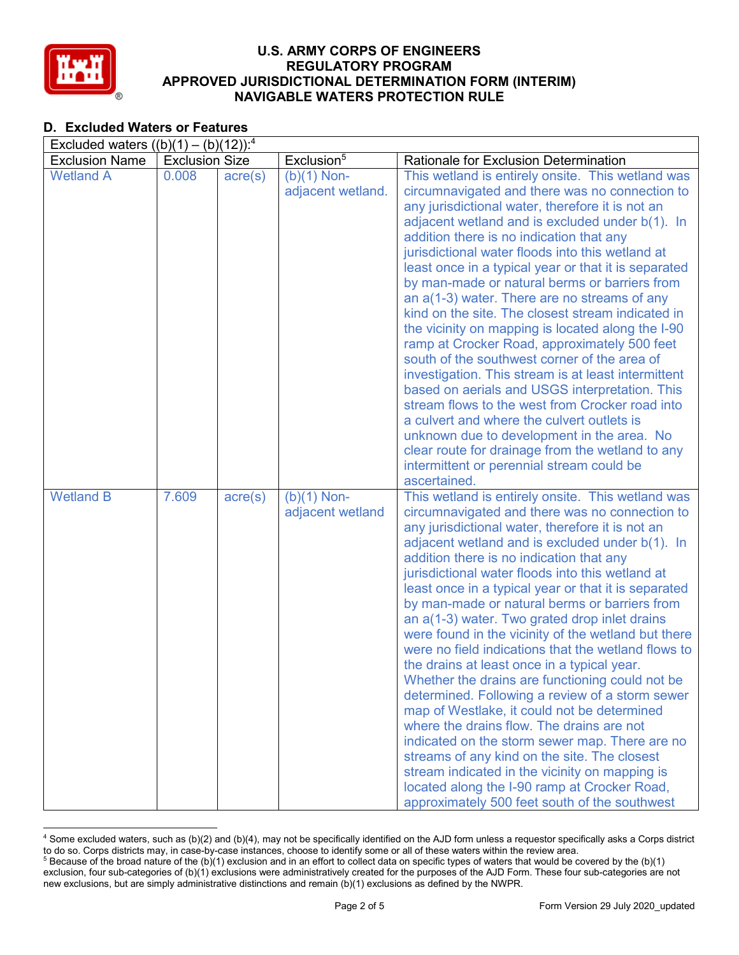

## **D. Excluded Waters or Features**

| Excluded waters $((b)(1) - (b)(12))$ : <sup>4</sup> |                       |                  |                        |                                                                                                       |  |  |  |  |  |
|-----------------------------------------------------|-----------------------|------------------|------------------------|-------------------------------------------------------------------------------------------------------|--|--|--|--|--|
| <b>Exclusion Name</b>                               | <b>Exclusion Size</b> |                  | Exclusion <sup>5</sup> | Rationale for Exclusion Determination                                                                 |  |  |  |  |  |
| <b>Wetland A</b>                                    | 0.008                 | $\text{acre}(s)$ | $(b)(1)$ Non-          | This wetland is entirely onsite. This wetland was                                                     |  |  |  |  |  |
|                                                     |                       |                  | adjacent wetland.      | circumnavigated and there was no connection to                                                        |  |  |  |  |  |
|                                                     |                       |                  |                        | any jurisdictional water, therefore it is not an                                                      |  |  |  |  |  |
|                                                     |                       |                  |                        | adjacent wetland and is excluded under b(1). In                                                       |  |  |  |  |  |
|                                                     |                       |                  |                        | addition there is no indication that any                                                              |  |  |  |  |  |
|                                                     |                       |                  |                        | jurisdictional water floods into this wetland at                                                      |  |  |  |  |  |
|                                                     |                       |                  |                        | least once in a typical year or that it is separated<br>by man-made or natural berms or barriers from |  |  |  |  |  |
|                                                     |                       |                  |                        | an $a(1-3)$ water. There are no streams of any                                                        |  |  |  |  |  |
|                                                     |                       |                  |                        | kind on the site. The closest stream indicated in                                                     |  |  |  |  |  |
|                                                     |                       |                  |                        | the vicinity on mapping is located along the I-90                                                     |  |  |  |  |  |
|                                                     |                       |                  |                        | ramp at Crocker Road, approximately 500 feet                                                          |  |  |  |  |  |
|                                                     |                       |                  |                        | south of the southwest corner of the area of                                                          |  |  |  |  |  |
|                                                     |                       |                  |                        | investigation. This stream is at least intermittent                                                   |  |  |  |  |  |
|                                                     |                       |                  |                        | based on aerials and USGS interpretation. This                                                        |  |  |  |  |  |
|                                                     |                       |                  |                        | stream flows to the west from Crocker road into                                                       |  |  |  |  |  |
|                                                     |                       |                  |                        | a culvert and where the culvert outlets is                                                            |  |  |  |  |  |
|                                                     |                       |                  |                        | unknown due to development in the area. No                                                            |  |  |  |  |  |
|                                                     |                       |                  |                        | clear route for drainage from the wetland to any                                                      |  |  |  |  |  |
|                                                     |                       |                  |                        | intermittent or perennial stream could be<br>ascertained.                                             |  |  |  |  |  |
| <b>Wetland B</b>                                    | 7.609                 | $\text{acre}(s)$ | $(b)(1)$ Non-          | This wetland is entirely onsite. This wetland was                                                     |  |  |  |  |  |
|                                                     |                       |                  | adjacent wetland       | circumnavigated and there was no connection to                                                        |  |  |  |  |  |
|                                                     |                       |                  |                        | any jurisdictional water, therefore it is not an                                                      |  |  |  |  |  |
|                                                     |                       |                  |                        | adjacent wetland and is excluded under b(1). In                                                       |  |  |  |  |  |
|                                                     |                       |                  |                        | addition there is no indication that any                                                              |  |  |  |  |  |
|                                                     |                       |                  |                        | jurisdictional water floods into this wetland at                                                      |  |  |  |  |  |
|                                                     |                       |                  |                        | least once in a typical year or that it is separated                                                  |  |  |  |  |  |
|                                                     |                       |                  |                        | by man-made or natural berms or barriers from                                                         |  |  |  |  |  |
|                                                     |                       |                  |                        | an a(1-3) water. Two grated drop inlet drains                                                         |  |  |  |  |  |
|                                                     |                       |                  |                        | were found in the vicinity of the wetland but there                                                   |  |  |  |  |  |
|                                                     |                       |                  |                        | were no field indications that the wetland flows to                                                   |  |  |  |  |  |
|                                                     |                       |                  |                        | the drains at least once in a typical year.                                                           |  |  |  |  |  |
|                                                     |                       |                  |                        | Whether the drains are functioning could not be                                                       |  |  |  |  |  |
|                                                     |                       |                  |                        | determined. Following a review of a storm sewer<br>map of Westlake, it could not be determined        |  |  |  |  |  |
|                                                     |                       |                  |                        | where the drains flow. The drains are not                                                             |  |  |  |  |  |
|                                                     |                       |                  |                        | indicated on the storm sewer map. There are no                                                        |  |  |  |  |  |
|                                                     |                       |                  |                        | streams of any kind on the site. The closest                                                          |  |  |  |  |  |
|                                                     |                       |                  |                        | stream indicated in the vicinity on mapping is                                                        |  |  |  |  |  |
|                                                     |                       |                  |                        | located along the I-90 ramp at Crocker Road,                                                          |  |  |  |  |  |
|                                                     |                       |                  |                        | approximately 500 feet south of the southwest                                                         |  |  |  |  |  |

 <sup>4</sup> Some excluded waters, such as (b)(2) and (b)(4), may not be specifically identified on the AJD form unless a requestor specifically asks a Corps district to do so. Corps districts may, in case-by-case instances, choose to identify some or all of these waters within the review area. <sup>5</sup> Because of the broad nature of the (b)(1) exclusion and in an effort to collect data on specific types of waters that would be covered by the (b)(1)

exclusion, four sub-categories of (b)(1) exclusions were administratively created for the purposes of the AJD Form. These four sub-categories are not new exclusions, but are simply administrative distinctions and remain (b)(1) exclusions as defined by the NWPR.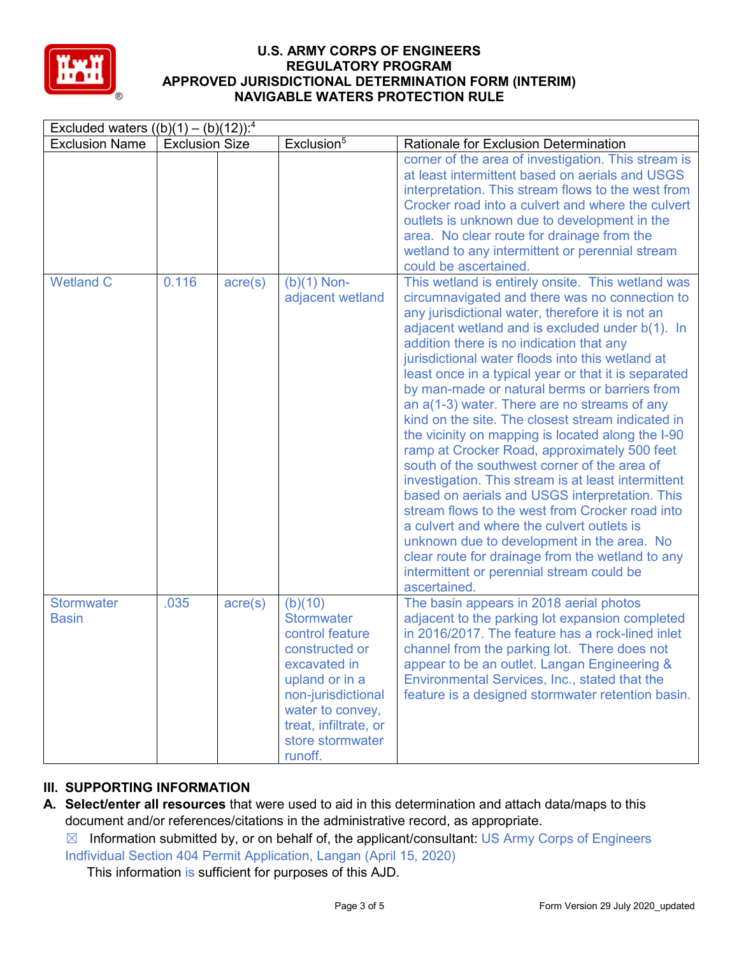

| Excluded waters $((b)(1) - (b)(12))$ : <sup>4</sup> |                       |                  |                                                                                                                                                                                                       |                                                                                                                                                                                                                                                                                                                                                                                                                                                                                                                                                                                                                                                                                                                                                                                                                                                                                                                                                                                                                                                          |  |  |  |  |  |
|-----------------------------------------------------|-----------------------|------------------|-------------------------------------------------------------------------------------------------------------------------------------------------------------------------------------------------------|----------------------------------------------------------------------------------------------------------------------------------------------------------------------------------------------------------------------------------------------------------------------------------------------------------------------------------------------------------------------------------------------------------------------------------------------------------------------------------------------------------------------------------------------------------------------------------------------------------------------------------------------------------------------------------------------------------------------------------------------------------------------------------------------------------------------------------------------------------------------------------------------------------------------------------------------------------------------------------------------------------------------------------------------------------|--|--|--|--|--|
| <b>Exclusion Name</b>                               | <b>Exclusion Size</b> |                  | Exclusion <sup>5</sup>                                                                                                                                                                                | Rationale for Exclusion Determination                                                                                                                                                                                                                                                                                                                                                                                                                                                                                                                                                                                                                                                                                                                                                                                                                                                                                                                                                                                                                    |  |  |  |  |  |
|                                                     |                       |                  |                                                                                                                                                                                                       | corner of the area of investigation. This stream is<br>at least intermittent based on aerials and USGS<br>interpretation. This stream flows to the west from<br>Crocker road into a culvert and where the culvert<br>outlets is unknown due to development in the<br>area. No clear route for drainage from the<br>wetland to any intermittent or perennial stream<br>could be ascertained.                                                                                                                                                                                                                                                                                                                                                                                                                                                                                                                                                                                                                                                              |  |  |  |  |  |
| <b>Wetland C</b>                                    | 0.116                 | $\text{acre}(s)$ | $(b)(1)$ Non-<br>adjacent wetland                                                                                                                                                                     | This wetland is entirely onsite. This wetland was<br>circumnavigated and there was no connection to<br>any jurisdictional water, therefore it is not an<br>adjacent wetland and is excluded under b(1). In<br>addition there is no indication that any<br>jurisdictional water floods into this wetland at<br>least once in a typical year or that it is separated<br>by man-made or natural berms or barriers from<br>an $a(1-3)$ water. There are no streams of any<br>kind on the site. The closest stream indicated in<br>the vicinity on mapping is located along the I-90<br>ramp at Crocker Road, approximately 500 feet<br>south of the southwest corner of the area of<br>investigation. This stream is at least intermittent<br>based on aerials and USGS interpretation. This<br>stream flows to the west from Crocker road into<br>a culvert and where the culvert outlets is<br>unknown due to development in the area. No<br>clear route for drainage from the wetland to any<br>intermittent or perennial stream could be<br>ascertained. |  |  |  |  |  |
| <b>Stormwater</b><br><b>Basin</b>                   | .035                  | $\text{acre}(s)$ | (b)(10)<br><b>Stormwater</b><br>control feature<br>constructed or<br>excavated in<br>upland or in a<br>non-jurisdictional<br>water to convey,<br>treat, infiltrate, or<br>store stormwater<br>runoff. | The basin appears in 2018 aerial photos<br>adjacent to the parking lot expansion completed<br>in 2016/2017. The feature has a rock-lined inlet<br>channel from the parking lot. There does not<br>appear to be an outlet. Langan Engineering &<br>Environmental Services, Inc., stated that the<br>feature is a designed stormwater retention basin.                                                                                                                                                                                                                                                                                                                                                                                                                                                                                                                                                                                                                                                                                                     |  |  |  |  |  |

# **III. SUPPORTING INFORMATION**

- **A. Select/enter all resources** that were used to aid in this determination and attach data/maps to this document and/or references/citations in the administrative record, as appropriate.
	- $\boxtimes$  Information submitted by, or on behalf of, the applicant/consultant: US Army Corps of Engineers Indfividual Section 404 Permit Application, Langan (April 15, 2020)

This information is sufficient for purposes of this AJD.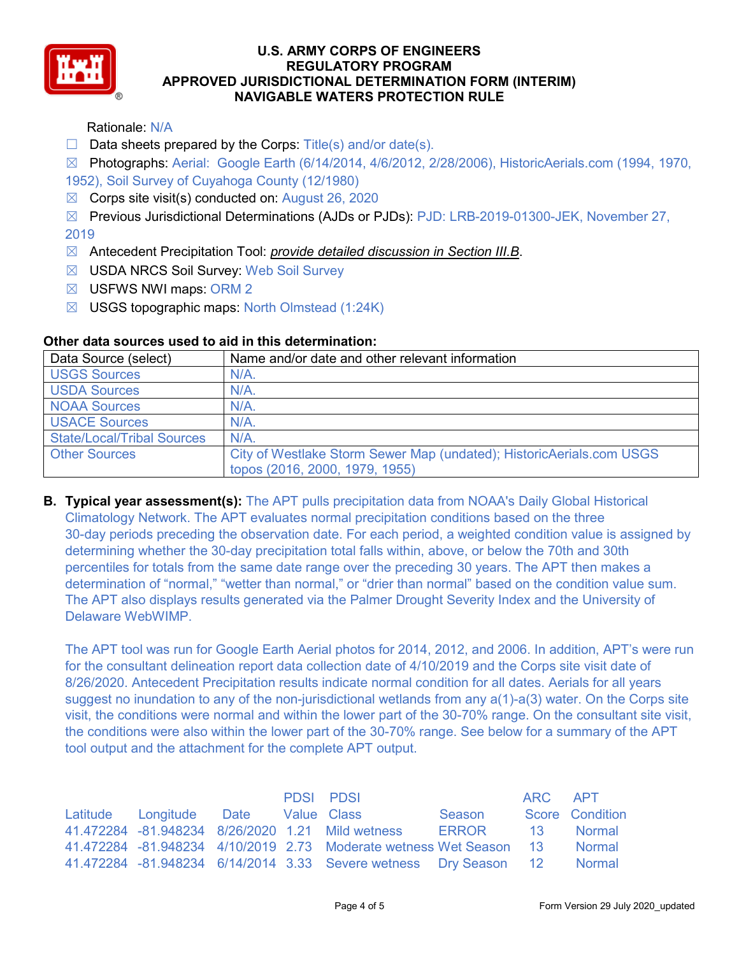

Rationale: N/A

 $\Box$  Data sheets prepared by the Corps: Title(s) and/or date(s).

☒ Photographs: Aerial: Google Earth (6/14/2014, 4/6/2012, 2/28/2006), HistoricAerials.com (1994, 1970, 1952), Soil Survey of Cuyahoga County (12/1980)

 $\boxtimes$  Corps site visit(s) conducted on: August 26, 2020

☒ Previous Jurisdictional Determinations (AJDs or PJDs): PJD: LRB-2019-01300-JEK, November 27, 2019

- ☒ Antecedent Precipitation Tool: *provide detailed discussion in Section III.B*.
- ☒ USDA NRCS Soil Survey: Web Soil Survey
- ☒ USFWS NWI maps: ORM 2
- $\boxtimes$  USGS topographic maps: North Olmstead (1:24K)

| Data Source (select)              | Name and/or date and other relevant information                      |  |  |  |  |
|-----------------------------------|----------------------------------------------------------------------|--|--|--|--|
| <b>USGS Sources</b>               | N/A.                                                                 |  |  |  |  |
| <b>USDA Sources</b>               | $N/A$ .                                                              |  |  |  |  |
| <b>NOAA Sources</b>               | $N/A$ .                                                              |  |  |  |  |
| <b>USACE Sources</b>              | $N/A$ .                                                              |  |  |  |  |
| <b>State/Local/Tribal Sources</b> | N/A                                                                  |  |  |  |  |
| <b>Other Sources</b>              | City of Westlake Storm Sewer Map (undated); HistoricAerials.com USGS |  |  |  |  |
|                                   | topos (2016, 2000, 1979, 1955)                                       |  |  |  |  |

## **Other data sources used to aid in this determination:**

**B. Typical year assessment(s):** The APT pulls precipitation data from NOAA's Daily Global Historical Climatology Network. The APT evaluates normal precipitation conditions based on the three 30-day periods preceding the observation date. For each period, a weighted condition value is assigned by determining whether the 30-day precipitation total falls within, above, or below the 70th and 30th percentiles for totals from the same date range over the preceding 30 years. The APT then makes a determination of "normal," "wetter than normal," or "drier than normal" based on the condition value sum. The APT also displays results generated via the Palmer Drought Severity Index and the University of Delaware WebWIMP.

The APT tool was run for Google Earth Aerial photos for 2014, 2012, and 2006. In addition, APT's were run for the consultant delineation report data collection date of 4/10/2019 and the Corps site visit date of 8/26/2020. Antecedent Precipitation results indicate normal condition for all dates. Aerials for all years suggest no inundation to any of the non-jurisdictional wetlands from any  $a(1)$ - $a(3)$  water. On the Corps site visit, the conditions were normal and within the lower part of the 30-70% range. On the consultant site visit, the conditions were also within the lower part of the 30-70% range. See below for a summary of the APT tool output and the attachment for the complete APT output.

|                                     |  | PDSI PDSI                                                                 |        | ARC APT |                 |
|-------------------------------------|--|---------------------------------------------------------------------------|--------|---------|-----------------|
| Latitude Longitude Date Value Class |  |                                                                           | Season |         | Score Condition |
|                                     |  | 41.472284 -81.948234 8/26/2020 1.21 Mild wetness ERROR 13 Normal          |        |         |                 |
|                                     |  | 41.472284 -81.948234 4/10/2019 2.73 Moderate wetness Wet Season 13 Normal |        |         |                 |
|                                     |  | 41.472284 -81.948234 6/14/2014 3.33 Severe wetness Dry Season 12 Normal   |        |         |                 |